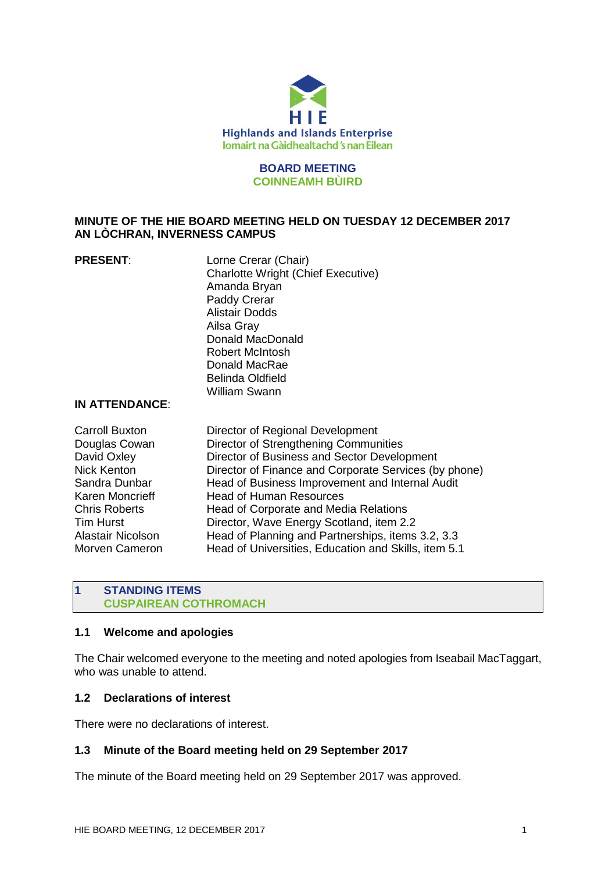

#### **BOARD MEETING COINNEAMH BÙIRD**

# **MINUTE OF THE HIE BOARD MEETING HELD ON TUESDAY 12 DECEMBER 2017 AN LÒCHRAN, INVERNESS CAMPUS**

| <b>PRESENT:</b> | Lorne Crerar (Chair)                      |
|-----------------|-------------------------------------------|
|                 | <b>Charlotte Wright (Chief Executive)</b> |
|                 | Amanda Bryan                              |
|                 | Paddy Crerar                              |
|                 | <b>Alistair Dodds</b>                     |
|                 | Ailsa Gray                                |
|                 | Donald MacDonald                          |
|                 | <b>Robert McIntosh</b>                    |
|                 | Donald MacRae                             |
|                 | <b>Belinda Oldfield</b>                   |
|                 | <b>William Swann</b>                      |
|                 |                                           |

#### **IN ATTENDANCE**:

| Head of Planning and Partnerships, items 3.2, 3.3<br>Alastair Nicolson                             |                                                       | <b>Carroll Buxton</b> | Director of Regional Development<br>Director of Strengthening Communities<br>Director of Business and Sector Development<br>Head of Business Improvement and Internal Audit<br><b>Head of Human Resources</b><br>Head of Corporate and Media Relations<br>Director, Wave Energy Scotland, item 2.2 |
|----------------------------------------------------------------------------------------------------|-------------------------------------------------------|-----------------------|----------------------------------------------------------------------------------------------------------------------------------------------------------------------------------------------------------------------------------------------------------------------------------------------------|
|                                                                                                    |                                                       | Morven Cameron        | Head of Universities, Education and Skills, item 5.1                                                                                                                                                                                                                                               |
|                                                                                                    |                                                       |                       |                                                                                                                                                                                                                                                                                                    |
| <b>Nick Kenton</b><br>Sandra Dunbar<br>Karen Moncrieff<br><b>Chris Roberts</b><br><b>Tim Hurst</b> |                                                       |                       |                                                                                                                                                                                                                                                                                                    |
|                                                                                                    |                                                       |                       |                                                                                                                                                                                                                                                                                                    |
| Douglas Cowan<br>David Oxley                                                                       | Director of Finance and Corporate Services (by phone) |                       |                                                                                                                                                                                                                                                                                                    |

#### **1 STANDING ITEMS CUSPAIREAN COTHROMACH**

#### **1.1 Welcome and apologies**

The Chair welcomed everyone to the meeting and noted apologies from Iseabail MacTaggart, who was unable to attend.

# **1.2 Declarations of interest**

There were no declarations of interest.

# **1.3 Minute of the Board meeting held on 29 September 2017**

The minute of the Board meeting held on 29 September 2017 was approved.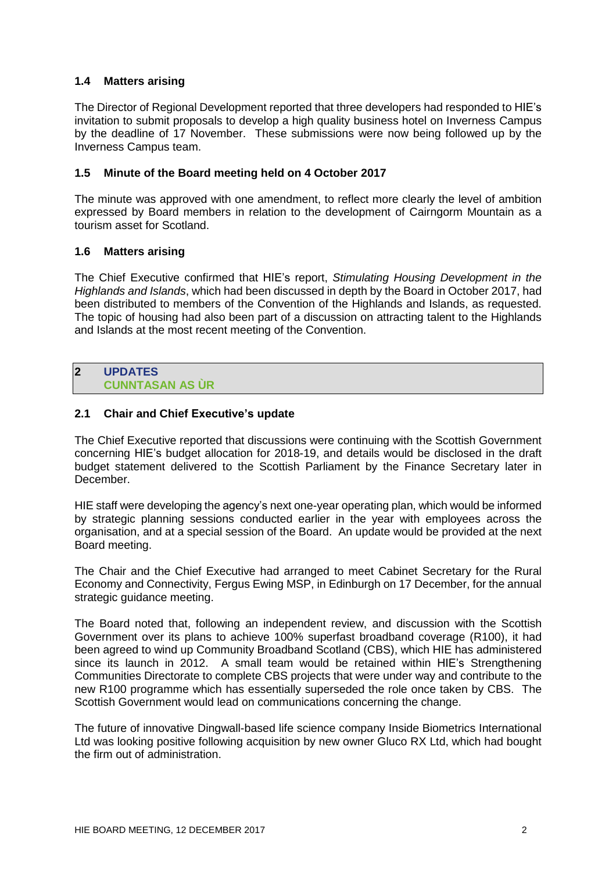# **1.4 Matters arising**

The Director of Regional Development reported that three developers had responded to HIE's invitation to submit proposals to develop a high quality business hotel on Inverness Campus by the deadline of 17 November. These submissions were now being followed up by the Inverness Campus team.

# **1.5 Minute of the Board meeting held on 4 October 2017**

The minute was approved with one amendment, to reflect more clearly the level of ambition expressed by Board members in relation to the development of Cairngorm Mountain as a tourism asset for Scotland.

# **1.6 Matters arising**

The Chief Executive confirmed that HIE's report, *Stimulating Housing Development in the Highlands and Islands*, which had been discussed in depth by the Board in October 2017, had been distributed to members of the Convention of the Highlands and Islands, as requested. The topic of housing had also been part of a discussion on attracting talent to the Highlands and Islands at the most recent meeting of the Convention.

#### **2 UPDATES CUNNTASAN AS ÙR**

# **2.1 Chair and Chief Executive's update**

The Chief Executive reported that discussions were continuing with the Scottish Government concerning HIE's budget allocation for 2018-19, and details would be disclosed in the draft budget statement delivered to the Scottish Parliament by the Finance Secretary later in December.

HIE staff were developing the agency's next one-year operating plan, which would be informed by strategic planning sessions conducted earlier in the year with employees across the organisation, and at a special session of the Board. An update would be provided at the next Board meeting.

The Chair and the Chief Executive had arranged to meet Cabinet Secretary for the Rural Economy and Connectivity, Fergus Ewing MSP, in Edinburgh on 17 December, for the annual strategic guidance meeting.

The Board noted that, following an independent review, and discussion with the Scottish Government over its plans to achieve 100% superfast broadband coverage (R100), it had been agreed to wind up Community Broadband Scotland (CBS), which HIE has administered since its launch in 2012. A small team would be retained within HIE's Strengthening Communities Directorate to complete CBS projects that were under way and contribute to the new R100 programme which has essentially superseded the role once taken by CBS. The Scottish Government would lead on communications concerning the change.

The future of innovative Dingwall-based life science company Inside Biometrics International Ltd was looking positive following acquisition by new owner Gluco RX Ltd, which had bought the firm out of administration.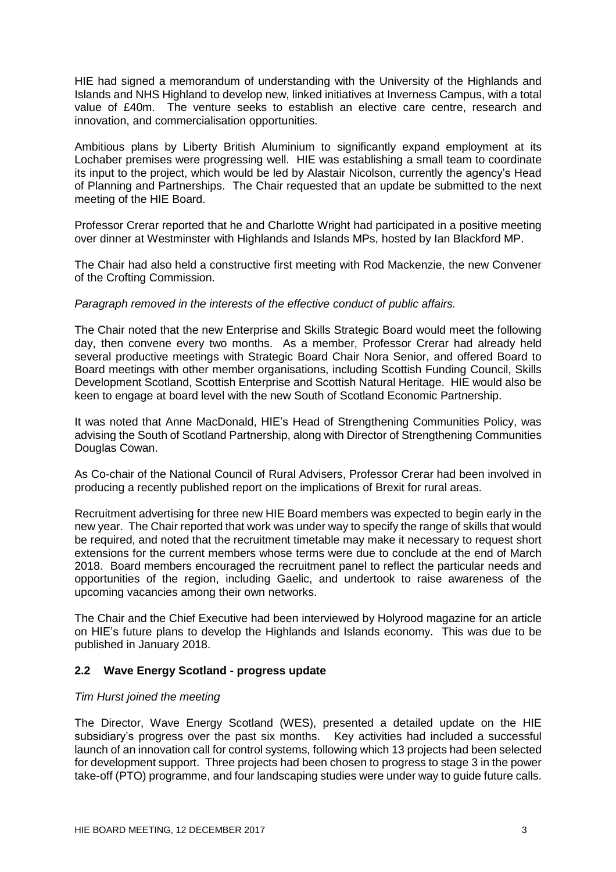HIE had signed a memorandum of understanding with the University of the Highlands and Islands and NHS Highland to develop new, linked initiatives at Inverness Campus, with a total value of £40m. The venture seeks to establish an elective care centre, research and innovation, and commercialisation opportunities.

Ambitious plans by Liberty British Aluminium to significantly expand employment at its Lochaber premises were progressing well. HIE was establishing a small team to coordinate its input to the project, which would be led by Alastair Nicolson, currently the agency's Head of Planning and Partnerships. The Chair requested that an update be submitted to the next meeting of the HIE Board.

Professor Crerar reported that he and Charlotte Wright had participated in a positive meeting over dinner at Westminster with Highlands and Islands MPs, hosted by Ian Blackford MP.

The Chair had also held a constructive first meeting with Rod Mackenzie, the new Convener of the Crofting Commission.

#### *Paragraph removed in the interests of the effective conduct of public affairs.*

The Chair noted that the new Enterprise and Skills Strategic Board would meet the following day, then convene every two months. As a member, Professor Crerar had already held several productive meetings with Strategic Board Chair Nora Senior, and offered Board to Board meetings with other member organisations, including Scottish Funding Council, Skills Development Scotland, Scottish Enterprise and Scottish Natural Heritage. HIE would also be keen to engage at board level with the new South of Scotland Economic Partnership.

It was noted that Anne MacDonald, HIE's Head of Strengthening Communities Policy, was advising the South of Scotland Partnership, along with Director of Strengthening Communities Douglas Cowan.

As Co-chair of the National Council of Rural Advisers, Professor Crerar had been involved in producing a recently published report on the implications of Brexit for rural areas.

Recruitment advertising for three new HIE Board members was expected to begin early in the new year. The Chair reported that work was under way to specify the range of skills that would be required, and noted that the recruitment timetable may make it necessary to request short extensions for the current members whose terms were due to conclude at the end of March 2018. Board members encouraged the recruitment panel to reflect the particular needs and opportunities of the region, including Gaelic, and undertook to raise awareness of the upcoming vacancies among their own networks.

The Chair and the Chief Executive had been interviewed by Holyrood magazine for an article on HIE's future plans to develop the Highlands and Islands economy. This was due to be published in January 2018.

# **2.2 Wave Energy Scotland - progress update**

# *Tim Hurst joined the meeting*

The Director, Wave Energy Scotland (WES), presented a detailed update on the HIE subsidiary's progress over the past six months. Key activities had included a successful launch of an innovation call for control systems, following which 13 projects had been selected for development support. Three projects had been chosen to progress to stage 3 in the power take-off (PTO) programme, and four landscaping studies were under way to guide future calls.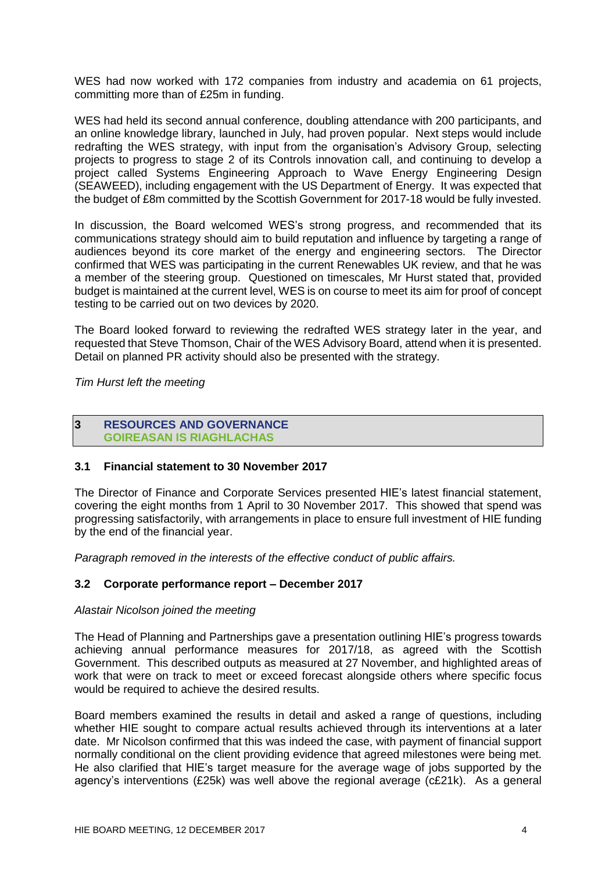WES had now worked with 172 companies from industry and academia on 61 projects, committing more than of £25m in funding.

WES had held its second annual conference, doubling attendance with 200 participants, and an online knowledge library, launched in July, had proven popular. Next steps would include redrafting the WES strategy, with input from the organisation's Advisory Group, selecting projects to progress to stage 2 of its Controls innovation call, and continuing to develop a project called Systems Engineering Approach to Wave Energy Engineering Design (SEAWEED), including engagement with the US Department of Energy. It was expected that the budget of £8m committed by the Scottish Government for 2017-18 would be fully invested.

In discussion, the Board welcomed WES's strong progress, and recommended that its communications strategy should aim to build reputation and influence by targeting a range of audiences beyond its core market of the energy and engineering sectors. The Director confirmed that WES was participating in the current Renewables UK review, and that he was a member of the steering group. Questioned on timescales, Mr Hurst stated that, provided budget is maintained at the current level, WES is on course to meet its aim for proof of concept testing to be carried out on two devices by 2020.

The Board looked forward to reviewing the redrafted WES strategy later in the year, and requested that Steve Thomson, Chair of the WES Advisory Board, attend when it is presented. Detail on planned PR activity should also be presented with the strategy.

*Tim Hurst left the meeting*

#### **3 RESOURCES AND GOVERNANCE GOIREASAN IS RIAGHLACHAS**

# **3.1 Financial statement to 30 November 2017**

The Director of Finance and Corporate Services presented HIE's latest financial statement, covering the eight months from 1 April to 30 November 2017. This showed that spend was progressing satisfactorily, with arrangements in place to ensure full investment of HIE funding by the end of the financial year.

*Paragraph removed in the interests of the effective conduct of public affairs.* 

# **3.2 Corporate performance report – December 2017**

# *Alastair Nicolson joined the meeting*

The Head of Planning and Partnerships gave a presentation outlining HIE's progress towards achieving annual performance measures for 2017/18, as agreed with the Scottish Government. This described outputs as measured at 27 November, and highlighted areas of work that were on track to meet or exceed forecast alongside others where specific focus would be required to achieve the desired results.

Board members examined the results in detail and asked a range of questions, including whether HIE sought to compare actual results achieved through its interventions at a later date. Mr Nicolson confirmed that this was indeed the case, with payment of financial support normally conditional on the client providing evidence that agreed milestones were being met. He also clarified that HIE's target measure for the average wage of jobs supported by the agency's interventions (£25k) was well above the regional average (c£21k). As a general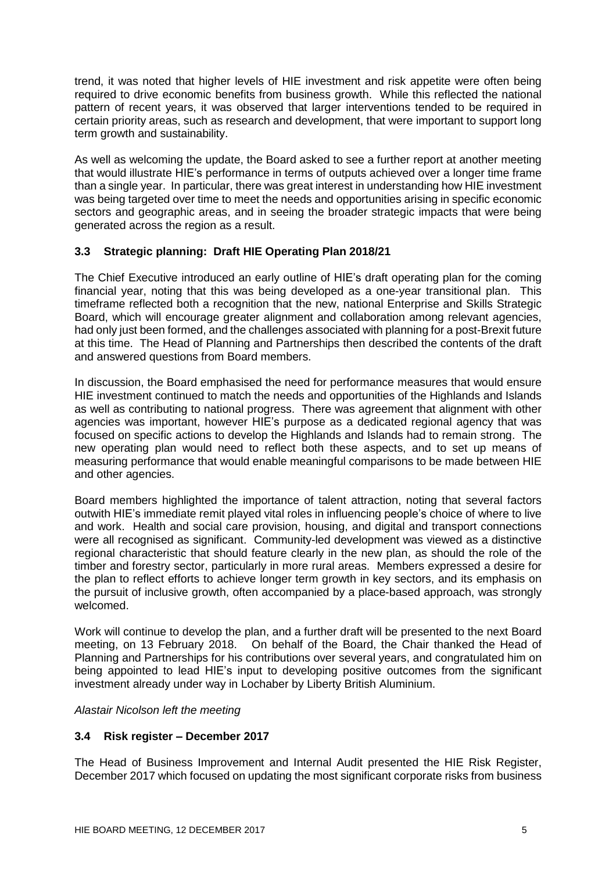trend, it was noted that higher levels of HIE investment and risk appetite were often being required to drive economic benefits from business growth. While this reflected the national pattern of recent years, it was observed that larger interventions tended to be required in certain priority areas, such as research and development, that were important to support long term growth and sustainability.

As well as welcoming the update, the Board asked to see a further report at another meeting that would illustrate HIE's performance in terms of outputs achieved over a longer time frame than a single year. In particular, there was great interest in understanding how HIE investment was being targeted over time to meet the needs and opportunities arising in specific economic sectors and geographic areas, and in seeing the broader strategic impacts that were being generated across the region as a result.

# **3.3 Strategic planning: Draft HIE Operating Plan 2018/21**

The Chief Executive introduced an early outline of HIE's draft operating plan for the coming financial year, noting that this was being developed as a one-year transitional plan. This timeframe reflected both a recognition that the new, national Enterprise and Skills Strategic Board, which will encourage greater alignment and collaboration among relevant agencies, had only just been formed, and the challenges associated with planning for a post-Brexit future at this time. The Head of Planning and Partnerships then described the contents of the draft and answered questions from Board members.

In discussion, the Board emphasised the need for performance measures that would ensure HIE investment continued to match the needs and opportunities of the Highlands and Islands as well as contributing to national progress. There was agreement that alignment with other agencies was important, however HIE's purpose as a dedicated regional agency that was focused on specific actions to develop the Highlands and Islands had to remain strong. The new operating plan would need to reflect both these aspects, and to set up means of measuring performance that would enable meaningful comparisons to be made between HIE and other agencies.

Board members highlighted the importance of talent attraction, noting that several factors outwith HIE's immediate remit played vital roles in influencing people's choice of where to live and work. Health and social care provision, housing, and digital and transport connections were all recognised as significant. Community-led development was viewed as a distinctive regional characteristic that should feature clearly in the new plan, as should the role of the timber and forestry sector, particularly in more rural areas. Members expressed a desire for the plan to reflect efforts to achieve longer term growth in key sectors, and its emphasis on the pursuit of inclusive growth, often accompanied by a place-based approach, was strongly welcomed.

Work will continue to develop the plan, and a further draft will be presented to the next Board meeting, on 13 February 2018. On behalf of the Board, the Chair thanked the Head of Planning and Partnerships for his contributions over several years, and congratulated him on being appointed to lead HIE's input to developing positive outcomes from the significant investment already under way in Lochaber by Liberty British Aluminium.

# *Alastair Nicolson left the meeting*

# **3.4 Risk register – December 2017**

The Head of Business Improvement and Internal Audit presented the HIE Risk Register, December 2017 which focused on updating the most significant corporate risks from business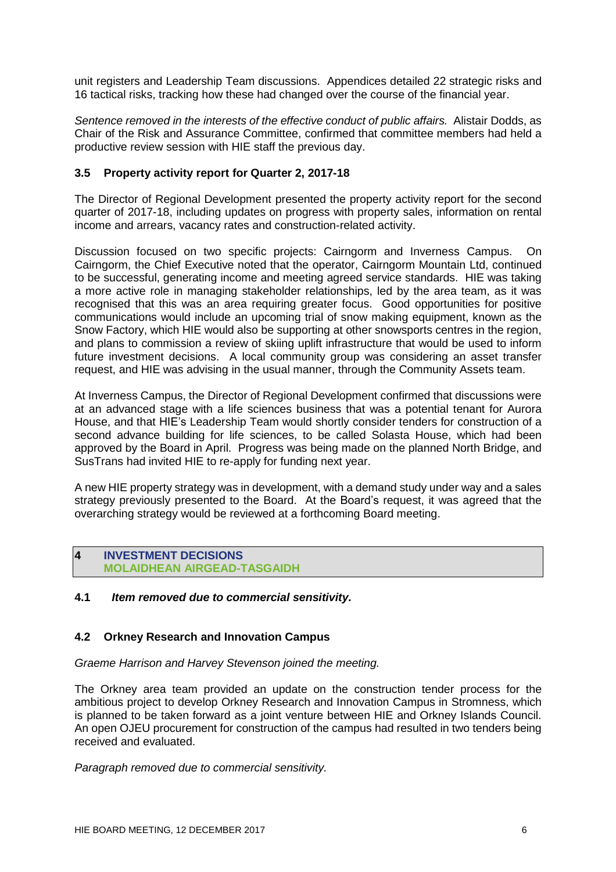unit registers and Leadership Team discussions. Appendices detailed 22 strategic risks and 16 tactical risks, tracking how these had changed over the course of the financial year.

*Sentence removed in the interests of the effective conduct of public affairs.* Alistair Dodds, as Chair of the Risk and Assurance Committee, confirmed that committee members had held a productive review session with HIE staff the previous day.

# **3.5 Property activity report for Quarter 2, 2017-18**

The Director of Regional Development presented the property activity report for the second quarter of 2017-18, including updates on progress with property sales, information on rental income and arrears, vacancy rates and construction-related activity.

Discussion focused on two specific projects: Cairngorm and Inverness Campus. On Cairngorm, the Chief Executive noted that the operator, Cairngorm Mountain Ltd, continued to be successful, generating income and meeting agreed service standards. HIE was taking a more active role in managing stakeholder relationships, led by the area team, as it was recognised that this was an area requiring greater focus. Good opportunities for positive communications would include an upcoming trial of snow making equipment, known as the Snow Factory, which HIE would also be supporting at other snowsports centres in the region, and plans to commission a review of skiing uplift infrastructure that would be used to inform future investment decisions. A local community group was considering an asset transfer request, and HIE was advising in the usual manner, through the Community Assets team.

At Inverness Campus, the Director of Regional Development confirmed that discussions were at an advanced stage with a life sciences business that was a potential tenant for Aurora House, and that HIE's Leadership Team would shortly consider tenders for construction of a second advance building for life sciences, to be called Solasta House, which had been approved by the Board in April. Progress was being made on the planned North Bridge, and SusTrans had invited HIE to re-apply for funding next year.

A new HIE property strategy was in development, with a demand study under way and a sales strategy previously presented to the Board. At the Board's request, it was agreed that the overarching strategy would be reviewed at a forthcoming Board meeting.

# **4 INVESTMENT DECISIONS MOLAIDHEAN AIRGEAD-TASGAIDH**

# **4.1** *Item removed due to commercial sensitivity.*

# **4.2 Orkney Research and Innovation Campus**

*Graeme Harrison and Harvey Stevenson joined the meeting.* 

The Orkney area team provided an update on the construction tender process for the ambitious project to develop Orkney Research and Innovation Campus in Stromness, which is planned to be taken forward as a joint venture between HIE and Orkney Islands Council. An open OJEU procurement for construction of the campus had resulted in two tenders being received and evaluated.

*Paragraph removed due to commercial sensitivity.*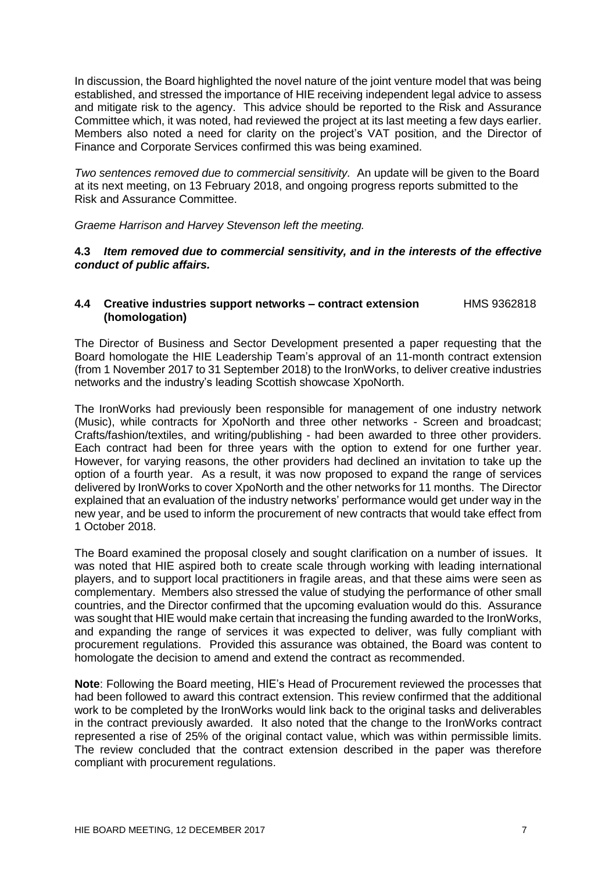In discussion, the Board highlighted the novel nature of the joint venture model that was being established, and stressed the importance of HIE receiving independent legal advice to assess and mitigate risk to the agency. This advice should be reported to the Risk and Assurance Committee which, it was noted, had reviewed the project at its last meeting a few days earlier. Members also noted a need for clarity on the project's VAT position, and the Director of Finance and Corporate Services confirmed this was being examined.

*Two sentences removed due to commercial sensitivity.* An update will be given to the Board at its next meeting, on 13 February 2018, and ongoing progress reports submitted to the Risk and Assurance Committee.

*Graeme Harrison and Harvey Stevenson left the meeting.* 

# **4.3** *Item removed due to commercial sensitivity, and in the interests of the effective conduct of public affairs.*

#### **4.4 Creative industries support networks – contract extension** HMS 9362818 **(homologation)**

The Director of Business and Sector Development presented a paper requesting that the Board homologate the HIE Leadership Team's approval of an 11-month contract extension (from 1 November 2017 to 31 September 2018) to the IronWorks, to deliver creative industries networks and the industry's leading Scottish showcase XpoNorth.

The IronWorks had previously been responsible for management of one industry network (Music), while contracts for XpoNorth and three other networks - Screen and broadcast; Crafts/fashion/textiles, and writing/publishing - had been awarded to three other providers. Each contract had been for three years with the option to extend for one further year. However, for varying reasons, the other providers had declined an invitation to take up the option of a fourth year. As a result, it was now proposed to expand the range of services delivered by IronWorks to cover XpoNorth and the other networks for 11 months. The Director explained that an evaluation of the industry networks' performance would get under way in the new year, and be used to inform the procurement of new contracts that would take effect from 1 October 2018.

The Board examined the proposal closely and sought clarification on a number of issues. It was noted that HIE aspired both to create scale through working with leading international players, and to support local practitioners in fragile areas, and that these aims were seen as complementary. Members also stressed the value of studying the performance of other small countries, and the Director confirmed that the upcoming evaluation would do this. Assurance was sought that HIE would make certain that increasing the funding awarded to the IronWorks, and expanding the range of services it was expected to deliver, was fully compliant with procurement regulations. Provided this assurance was obtained, the Board was content to homologate the decision to amend and extend the contract as recommended.

**Note**: Following the Board meeting, HIE's Head of Procurement reviewed the processes that had been followed to award this contract extension. This review confirmed that the additional work to be completed by the IronWorks would link back to the original tasks and deliverables in the contract previously awarded. It also noted that the change to the IronWorks contract represented a rise of 25% of the original contact value, which was within permissible limits. The review concluded that the contract extension described in the paper was therefore compliant with procurement regulations.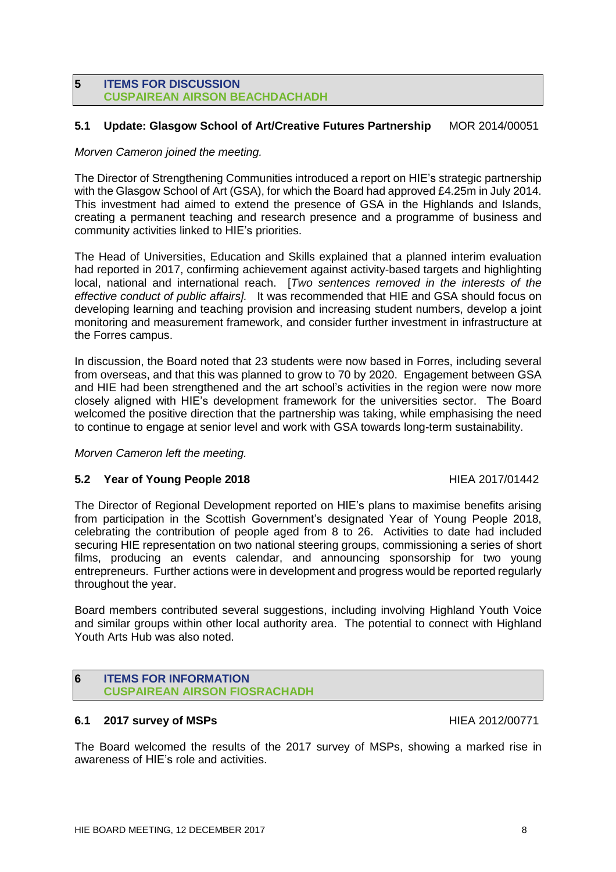#### **5 ITEMS FOR DISCUSSION CUSPAIREAN AIRSON BEACHDACHADH**

# **5.1 Update: Glasgow School of Art/Creative Futures Partnership** MOR 2014/00051

# *Morven Cameron joined the meeting.*

The Director of Strengthening Communities introduced a report on HIE's strategic partnership with the Glasgow School of Art (GSA), for which the Board had approved £4.25m in July 2014. This investment had aimed to extend the presence of GSA in the Highlands and Islands, creating a permanent teaching and research presence and a programme of business and community activities linked to HIE's priorities.

The Head of Universities, Education and Skills explained that a planned interim evaluation had reported in 2017, confirming achievement against activity-based targets and highlighting local, national and international reach. [*Two sentences removed in the interests of the effective conduct of public affairs].* It was recommended that HIE and GSA should focus on developing learning and teaching provision and increasing student numbers, develop a joint monitoring and measurement framework, and consider further investment in infrastructure at the Forres campus.

In discussion, the Board noted that 23 students were now based in Forres, including several from overseas, and that this was planned to grow to 70 by 2020. Engagement between GSA and HIE had been strengthened and the art school's activities in the region were now more closely aligned with HIE's development framework for the universities sector. The Board welcomed the positive direction that the partnership was taking, while emphasising the need to continue to engage at senior level and work with GSA towards long-term sustainability.

*Morven Cameron left the meeting.*

# **5.2 Year of Young People 2018** HIEA 2017/01442

The Director of Regional Development reported on HIE's plans to maximise benefits arising from participation in the Scottish Government's designated Year of Young People 2018, celebrating the contribution of people aged from 8 to 26. Activities to date had included securing HIE representation on two national steering groups, commissioning a series of short films, producing an events calendar, and announcing sponsorship for two young entrepreneurs. Further actions were in development and progress would be reported regularly throughout the year.

Board members contributed several suggestions, including involving Highland Youth Voice and similar groups within other local authority area. The potential to connect with Highland Youth Arts Hub was also noted.

# **6 ITEMS FOR INFORMATION CUSPAIREAN AIRSON FIOSRACHADH**

# **6.1 2017 survey of MSPs** HIEA 2012/00771

The Board welcomed the results of the 2017 survey of MSPs, showing a marked rise in awareness of HIE's role and activities.